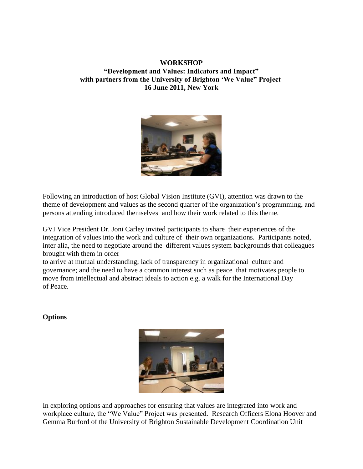## **WORKSHOP "Development and Values: Indicators and Impact" with partners from the University of Brighton 'We Value" Project 16 June 2011, New York**



Following an introduction of host Global Vision Institute (GVI), attention was drawn to the theme of development and values as the second quarter of the organization's programming, and persons attending introduced themselves and how their work related to this theme.

GVI Vice President Dr. Joni Carley invited participants to share their experiences of the integration of values into the work and culture of their own organizations. Participants noted, inter alia, the need to negotiate around the different values system backgrounds that colleagues brought with them in order

to arrive at mutual understanding; lack of transparency in organizational culture and governance; and the need to have a common interest such as peace that motivates people to move from intellectual and abstract ideals to action e.g. a walk for the International Day of Peace.

## **Options**



In exploring options and approaches for ensuring that values are integrated into work and workplace culture, the "We Value" Project was presented. Research Officers Elona Hoover and Gemma Burford of the University of Brighton Sustainable Development Coordination Unit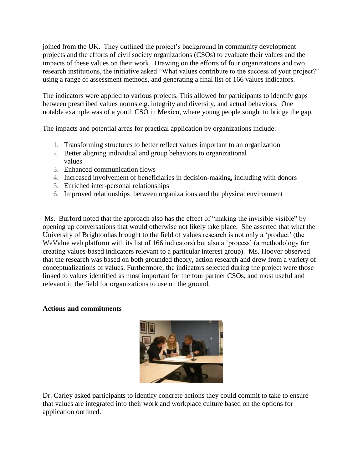joined from the UK. They outlined the project's background in community development projects and the efforts of civil society organizations (CSOs) to evaluate their values and the impacts of these values on their work. Drawing on the efforts of four organizations and two research institutions, the initiative asked "What values contribute to the success of your project?" using a range of assessment methods, and generating a final list of 166 values indicators.

The indicators were applied to various projects. This allowed for participants to identify gaps between prescribed values norms e.g. integrity and diversity, and actual behaviors. One notable example was of a youth CSO in Mexico, where young people sought to bridge the gap.

The impacts and potential areas for practical application by organizations include:

- 1. Transforming structures to better reflect values important to an organization
- 2. Better aligning individual and group behaviors to organizational values
- 3. Enhanced communication flows
- 4. Increased involvement of beneficiaries in decision-making, including with donors
- 5. Enriched inter-personal relationships
- 6. Improved relationships between organizations and the physical environment

Ms. Burford noted that the approach also has the effect of "making the invisible visible" by opening up conversations that would otherwise not likely take place. She asserted that what the University of Brightonhas brought to the field of values research is not only a 'product' (the WeValue web platform with its list of 166 indicators) but also a 'process' (a methodology for creating values-based indicators relevant to a particular interest group). Ms. Hoover observed that the research was based on both grounded theory, action research and drew from a variety of conceptualizations of values. Furthermore, the indicators selected during the project were those linked to values identified as most important for the four partner CSOs, and most useful and relevant in the field for organizations to use on the ground.

## **Actions and commitments**



Dr. Carley asked participants to identify concrete actions they could commit to take to ensure that values are integrated into their work and workplace culture based on the options for application outlined.